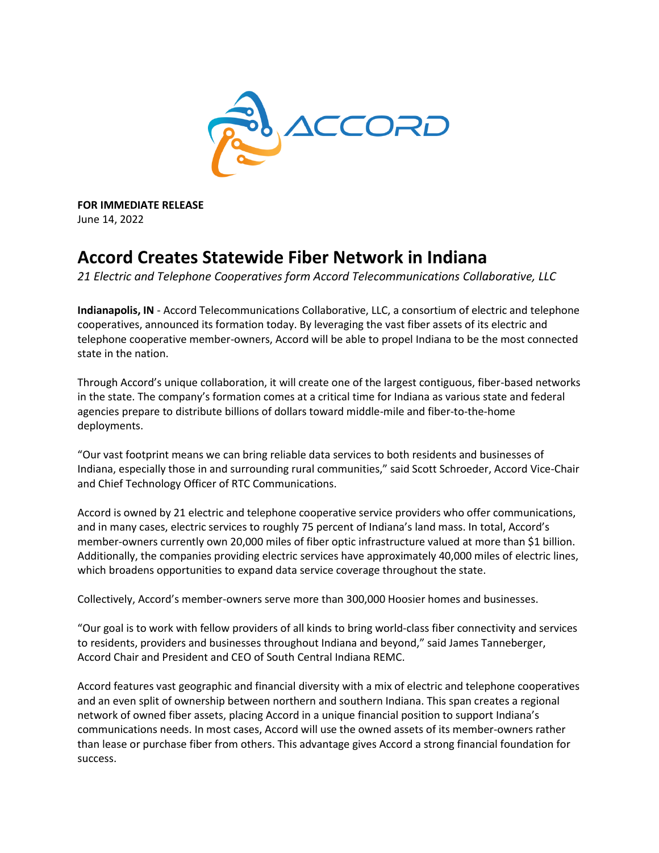

**FOR IMMEDIATE RELEASE** June 14, 2022

## **Accord Creates Statewide Fiber Network in Indiana**

*21 Electric and Telephone Cooperatives form Accord Telecommunications Collaborative, LLC*

**Indianapolis, IN** - Accord Telecommunications Collaborative, LLC, a consortium of electric and telephone cooperatives, announced its formation today. By leveraging the vast fiber assets of its electric and telephone cooperative member-owners, Accord will be able to propel Indiana to be the most connected state in the nation.

Through Accord's unique collaboration, it will create one of the largest contiguous, fiber-based networks in the state. The company's formation comes at a critical time for Indiana as various state and federal agencies prepare to distribute billions of dollars toward middle-mile and fiber-to-the-home deployments.

"Our vast footprint means we can bring reliable data services to both residents and businesses of Indiana, especially those in and surrounding rural communities," said Scott Schroeder, Accord Vice-Chair and Chief Technology Officer of RTC Communications.

Accord is owned by 21 electric and telephone cooperative service providers who offer communications, and in many cases, electric services to roughly 75 percent of Indiana's land mass. In total, Accord's member-owners currently own 20,000 miles of fiber optic infrastructure valued at more than \$1 billion. Additionally, the companies providing electric services have approximately 40,000 miles of electric lines, which broadens opportunities to expand data service coverage throughout the state.

Collectively, Accord's member-owners serve more than 300,000 Hoosier homes and businesses.

"Our goal is to work with fellow providers of all kinds to bring world-class fiber connectivity and services to residents, providers and businesses throughout Indiana and beyond," said James Tanneberger, Accord Chair and President and CEO of South Central Indiana REMC.

Accord features vast geographic and financial diversity with a mix of electric and telephone cooperatives and an even split of ownership between northern and southern Indiana. This span creates a regional network of owned fiber assets, placing Accord in a unique financial position to support Indiana's communications needs. In most cases, Accord will use the owned assets of its member-owners rather than lease or purchase fiber from others. This advantage gives Accord a strong financial foundation for success.